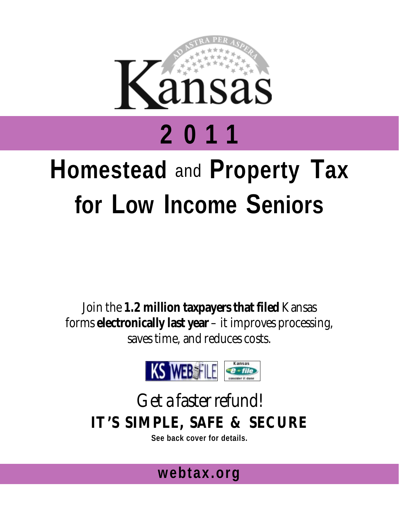

# **Homestead** and **Property Tax for Low Income Seniors**

Join the **1.2 million taxpayers that filed** Kansas forms **electronically last year** – it improves processing, saves time, and reduces costs.



## Get a faster refund! **IT'S SIMPLE, SAFE & SECURE**

**See back cover for details.** 

## **webtax.org**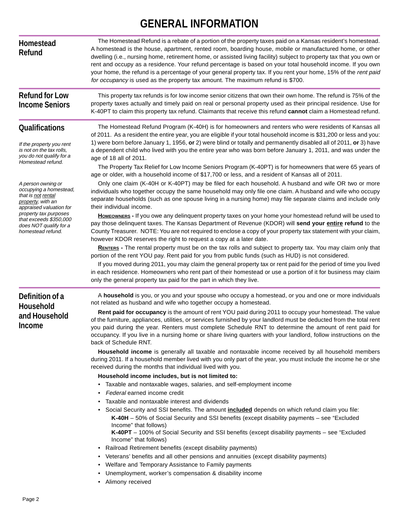### **GENERAL INFORMATION**

| <b>Homestead</b><br><b>Refund</b>                                                                                              | The Homestead Refund is a rebate of a portion of the property taxes paid on a Kansas resident's homestead.<br>A homestead is the house, apartment, rented room, boarding house, mobile or manufactured home, or other<br>dwelling (i.e., nursing home, retirement home, or assisted living facility) subject to property tax that you own or<br>rent and occupy as a residence. Your refund percentage is based on your total household income. If you own<br>your home, the refund is a percentage of your general property tax. If you rent your home, 15% of the rent paid<br>for occupancy is used as the property tax amount. The maximum refund is \$700. |  |  |  |
|--------------------------------------------------------------------------------------------------------------------------------|-----------------------------------------------------------------------------------------------------------------------------------------------------------------------------------------------------------------------------------------------------------------------------------------------------------------------------------------------------------------------------------------------------------------------------------------------------------------------------------------------------------------------------------------------------------------------------------------------------------------------------------------------------------------|--|--|--|
| <b>Refund for Low</b><br><b>Income Seniors</b>                                                                                 | This property tax refunds is for low income senior citizens that own their own home. The refund is 75% of the<br>property taxes actually and timely paid on real or personal property used as their principal residence. Use for<br>K-40PT to claim this property tax refund. Claimants that receive this refund cannot claim a Homestead refund.                                                                                                                                                                                                                                                                                                               |  |  |  |
| <b>Qualifications</b><br>If the property you rent<br>is not on the tax rolls,<br>you do not qualify for a<br>Homestead refund. | The Homestead Refund Program (K-40H) is for homeowners and renters who were residents of Kansas all<br>of 2011. As a resident the entire year, you are eligible if your total household income is \$31,200 or less and you:<br>1) were born before January 1, 1956, or 2) were blind or totally and permanently disabled all of 2011, or 3) have<br>a dependent child who lived with you the entire year who was born before January 1, 2011, and was under the<br>age of 18 all of 2011.<br>The Property Tax Relief for Low Income Seniors Program (K-40PT) is for homeowners that were 65 years of                                                            |  |  |  |
| A person owning or<br>occupying a homestead,<br>that is not rental<br>property, with an<br>appraised valuation for             | age or older, with a household income of \$17,700 or less, and a resident of Kansas all of 2011.<br>Only one claim (K-40H or K-40PT) may be filed for each household. A husband and wife OR two or more<br>individuals who together occupy the same household may only file one claim. A husband and wife who occupy<br>separate households (such as one spouse living in a nursing home) may file separate claims and include only<br>their individual income.                                                                                                                                                                                                 |  |  |  |
| property tax purposes<br>that exceeds \$350,000<br>does NOT qualify for a<br>homestead refund.                                 | HOMEOWNERS - If you owe any delinquent property taxes on your home your homestead refund will be used to<br>pay those delinquent taxes. The Kansas Department of Revenue (KDOR) will send your entire refund to the<br>County Treasurer. NOTE: You are not required to enclose a copy of your property tax statement with your claim,<br>however KDOR reserves the right to request a copy at a later date.                                                                                                                                                                                                                                                     |  |  |  |
|                                                                                                                                | RENTERS - The rental property must be on the tax rolls and subject to property tax. You may claim only that<br>portion of the rent YOU pay. Rent paid for you from public funds (such as HUD) is not considered.<br>If you moved during 2011, you may claim the general property tax or rent paid for the period of time you lived<br>in each residence. Homeowners who rent part of their homestead or use a portion of it for business may claim<br>only the general property tax paid for the part in which they live.                                                                                                                                       |  |  |  |
| Definition of a                                                                                                                | A household is you, or you and your spouse who occupy a homestead, or you and one or more individuals<br>not related as husband and wife who together occupy a homestead.                                                                                                                                                                                                                                                                                                                                                                                                                                                                                       |  |  |  |
| <b>Household</b><br>and Household<br>Income                                                                                    | Rent paid for occupancy is the amount of rent YOU paid during 2011 to occupy your homestead. The value<br>of the furniture, appliances, utilities, or services furnished by your landlord must be deducted from the total rent<br>you paid during the year. Renters must complete Schedule RNT to determine the amount of rent paid for<br>occupancy. If you live in a nursing home or share living quarters with your landlord, follow instructions on the<br>back of Schedule RNT.                                                                                                                                                                            |  |  |  |
|                                                                                                                                | Household income is generally all taxable and nontaxable income received by all household members<br>during 2011. If a household member lived with you only part of the year, you must include the income he or she<br>received during the months that individual lived with you.                                                                                                                                                                                                                                                                                                                                                                               |  |  |  |
|                                                                                                                                | Household income includes, but is not limited to:                                                                                                                                                                                                                                                                                                                                                                                                                                                                                                                                                                                                               |  |  |  |
|                                                                                                                                | • Taxable and nontaxable wages, salaries, and self-employment income                                                                                                                                                                                                                                                                                                                                                                                                                                                                                                                                                                                            |  |  |  |
|                                                                                                                                | • Federal earned income credit                                                                                                                                                                                                                                                                                                                                                                                                                                                                                                                                                                                                                                  |  |  |  |
|                                                                                                                                | • Taxable and nontaxable interest and dividends                                                                                                                                                                                                                                                                                                                                                                                                                                                                                                                                                                                                                 |  |  |  |
|                                                                                                                                | • Social Security and SSI benefits. The amount included depends on which refund claim you file:<br>K-40H - 50% of Social Security and SSI benefits (except disability payments - see "Excluded"<br>Income" that follows)<br>K-40PT - 100% of Social Security and SSI benefits (except disability payments - see "Excluded<br>Income" that follows)                                                                                                                                                                                                                                                                                                              |  |  |  |
|                                                                                                                                | • Railroad Retirement benefits (except disability payments)<br>• Veterans' benefits and all other pensions and annuities (except disability payments)<br>• Welfare and Temporary Assistance to Family payments<br>• Unemployment, worker's compensation & disability income                                                                                                                                                                                                                                                                                                                                                                                     |  |  |  |

• Alimony received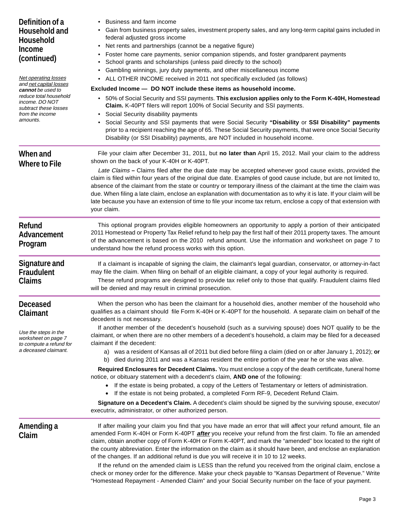| Definition of a<br><b>Household and</b><br><b>Household</b><br>Income<br>(continued)<br>Net operating losses<br>and net capital losses<br>cannot be used to<br>reduce total household<br>income. DO NOT<br>subtract these losses<br>from the income<br>amounts. | Business and farm income<br>• Gain from business property sales, investment property sales, and any long-term capital gains included in<br>federal adjusted gross income<br>Net rents and partnerships (cannot be a negative figure)<br>$\bullet$<br>Foster home care payments, senior companion stipends, and foster grandparent payments<br>School grants and scholarships (unless paid directly to the school)<br>٠<br>Gambling winnings, jury duty payments, and other miscellaneous income<br>• ALL OTHER INCOME received in 2011 not specifically excluded (as follows)<br>Excluded Income - DO NOT include these items as household income.<br>50% of Social Security and SSI payments. This exclusion applies only to the Form K-40H, Homestead<br>$\bullet$<br>Claim. K-40PT filers will report 100% of Social Security and SSI payments.<br>• Social Security disability payments<br>• Social Security and SSI payments that were Social Security "Disability or SSI Disability" payments<br>prior to a recipient reaching the age of 65. These Social Security payments, that were once Social Security<br>Disability (or SSI Disability) payments, are NOT included in household income. |  |  |
|-----------------------------------------------------------------------------------------------------------------------------------------------------------------------------------------------------------------------------------------------------------------|------------------------------------------------------------------------------------------------------------------------------------------------------------------------------------------------------------------------------------------------------------------------------------------------------------------------------------------------------------------------------------------------------------------------------------------------------------------------------------------------------------------------------------------------------------------------------------------------------------------------------------------------------------------------------------------------------------------------------------------------------------------------------------------------------------------------------------------------------------------------------------------------------------------------------------------------------------------------------------------------------------------------------------------------------------------------------------------------------------------------------------------------------------------------------------------------------|--|--|
| When and<br><b>Where to File</b>                                                                                                                                                                                                                                | File your claim after December 31, 2011, but no later than April 15, 2012. Mail your claim to the address<br>shown on the back of your K-40H or K-40PT.<br>Late Claims - Claims filed after the due date may be accepted whenever good cause exists, provided the<br>claim is filed within four years of the original due date. Examples of good cause include, but are not limited to,<br>absence of the claimant from the state or country or temporary illness of the claimant at the time the claim was<br>due. When filing a late claim, enclose an explanation with documentation as to why it is late. If your claim will be<br>late because you have an extension of time to file your income tax return, enclose a copy of that extension with<br>your claim.                                                                                                                                                                                                                                                                                                                                                                                                                               |  |  |
| <b>Refund</b><br>Advancement<br>Program                                                                                                                                                                                                                         | This optional program provides eligible homeowners an opportunity to apply a portion of their anticipated<br>2011 Homestead or Property Tax Relief refund to help pay the first half of their 2011 property taxes. The amount<br>of the advancement is based on the 2010 refund amount. Use the information and worksheet on page 7 to<br>understand how the refund process works with this option.                                                                                                                                                                                                                                                                                                                                                                                                                                                                                                                                                                                                                                                                                                                                                                                                  |  |  |
| <b>Signature and</b><br><b>Fraudulent</b><br><b>Claims</b>                                                                                                                                                                                                      | If a claimant is incapable of signing the claim, the claimant's legal guardian, conservator, or attorney-in-fact<br>may file the claim. When filing on behalf of an eligible claimant, a copy of your legal authority is required.<br>These refund programs are designed to provide tax relief only to those that qualify. Fraudulent claims filed<br>will be denied and may result in criminal prosecution.                                                                                                                                                                                                                                                                                                                                                                                                                                                                                                                                                                                                                                                                                                                                                                                         |  |  |
| <b>Deceased</b><br>Claimant                                                                                                                                                                                                                                     | When the person who has been the claimant for a household dies, another member of the household who<br>qualifies as a claimant should file Form K-40H or K-40PT for the household. A separate claim on behalf of the<br>decedent is not necessary.                                                                                                                                                                                                                                                                                                                                                                                                                                                                                                                                                                                                                                                                                                                                                                                                                                                                                                                                                   |  |  |
| Use the steps in the<br>worksheet on page 7<br>to compute a refund for<br>a deceased claimant.                                                                                                                                                                  | If another member of the decedent's household (such as a surviving spouse) does NOT qualify to be the<br>claimant, or when there are no other members of a decedent's household, a claim may be filed for a deceased<br>claimant if the decedent:<br>a) was a resident of Kansas all of 2011 but died before filing a claim (died on or after January 1, 2012); or<br>b) died during 2011 and was a Kansas resident the entire portion of the year he or she was alive.<br>Required Enclosures for Decedent Claims. You must enclose a copy of the death certificate, funeral home<br>notice, or obituary statement with a decedent's claim, AND one of the following:<br>If the estate is being probated, a copy of the Letters of Testamentary or letters of administration.<br>$\bullet$                                                                                                                                                                                                                                                                                                                                                                                                          |  |  |
|                                                                                                                                                                                                                                                                 | If the estate is not being probated, a completed Form RF-9, Decedent Refund Claim.<br>$\bullet$<br>Signature on a Decedent's Claim. A decedent's claim should be signed by the surviving spouse, executor/<br>executrix, administrator, or other authorized person.                                                                                                                                                                                                                                                                                                                                                                                                                                                                                                                                                                                                                                                                                                                                                                                                                                                                                                                                  |  |  |
| Amending a<br>Claim                                                                                                                                                                                                                                             | If after mailing your claim you find that you have made an error that will affect your refund amount, file an<br>amended Form K-40H or Form K-40PT after you receive your refund from the first claim. To file an amended<br>claim, obtain another copy of Form K-40H or Form K-40PT, and mark the "amended" box located to the right of<br>the county abbreviation. Enter the information on the claim as it should have been, and enclose an explanation<br>of the changes. If an additional refund is due you will receive it in 10 to 12 weeks.                                                                                                                                                                                                                                                                                                                                                                                                                                                                                                                                                                                                                                                  |  |  |
|                                                                                                                                                                                                                                                                 | If the refund on the amended claim is LESS than the refund you received from the original claim, enclose a<br>check or money order for the difference. Make your check payable to "Kansas Department of Revenue." Write<br>"Homestead Repayment - Amended Claim" and your Social Security number on the face of your payment.                                                                                                                                                                                                                                                                                                                                                                                                                                                                                                                                                                                                                                                                                                                                                                                                                                                                        |  |  |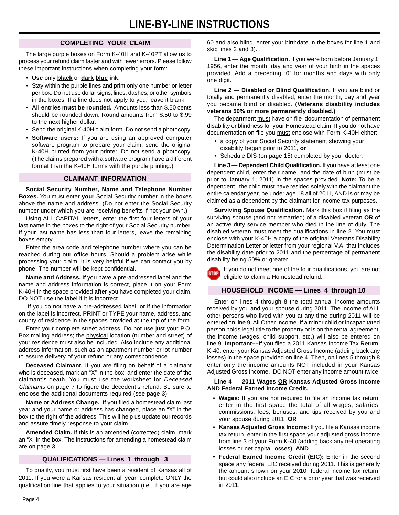### **COMPLETING YOUR CLAIM**

The large purple boxes on Form K-40H and K-40PT allow us to process your refund claim faster and with fewer errors. Please follow these important instructions when completing your form:

- **Use** only **black** or **dark blue ink**.
- Stay within the purple lines and print only one number or letter per box. Do not use dollar signs, lines, dashes, or other symbols in the boxes. If a line does not apply to you, leave it blank.
- **All entries must be rounded.** Amounts less than \$.50 cents should be rounded down. Round amounts from \$.50 to \$.99 to the next higher dollar.
- Send the original K-40H claim form. Do not send a photocopy.
- **Software users:** If you are using an approved computer software program to prepare your claim, send the original K-40H printed from your printer. Do not send a photocopy. (The claims prepared with a software program have a different format than the K-40H forms with the purple printing.)

#### **CLAIMANT INFORMATION**

**Social Security Number, Name and Telephone Number Boxes.** You must enter **your** Social Security number in the boxes above the name and address. (Do not enter the Social Security number under which you are receiving benefits if not your own.)

Using ALL CAPITAL letters, enter the first four letters of your last name in the boxes to the right of your Social Security number. If your last name has less than four letters, leave the remaining boxes empty.

Enter the area code and telephone number where you can be reached during our office hours. Should a problem arise while processing your claim, it is very helpful if we can contact you by phone. The number will be kept confidential.

**Name and Address.** If you have a pre-addressed label and the name and address information is correct, place it on your Form K-40H in the space provided **after** you have completed your claim. DO NOT use the label if it is incorrect.

 If you do not have a pre-addressed label, or if the information on the label is incorrect, PRINT or TYPE your name, address, and county of residence in the spaces provided at the top of the form.

Enter your complete street address. Do not use just your P.O. Box mailing address; the physical location (number and street) of your residence must also be included. Also include any additional address information, such as an apartment number or lot number to assure delivery of your refund or any correspondence.

**Deceased Claimant.** If you are filing on behalf of a claimant who is deceased, mark an "X" in the box, and enter the date of the claimant's death. You must use the worksheet for Deceased Claimants on page 7 to figure the decedent's refund. Be sure to enclose the additional documents required (see page 3).

**Name or Address Change.** If you filed a homestead claim last year and your name or address has changed, place an "X" in the box to the right of the address. This will help us update our records and assure timely response to your claim.

**Amended Claim.** If this is an amended (corrected) claim, mark an "X" in the box. The instructions for amending a homestead claim are on page 3.

### **QUALIFICATIONS** — **Lines 1 through 3**

To qualify, you must first have been a resident of Kansas all of 2011. If you were a Kansas resident all year, complete ONLY the qualification line that applies to your situation (i.e., if you are age 60 and also blind, enter your birthdate in the boxes for line 1 and skip lines 2 and 3).

**Line 1** — **Age Qualification.** If you were born before January 1, 1956, enter the month, day and year of your birth in the spaces provided. Add a preceding "0" for months and days with only one digit.

**Line 2** — **Disabled or Blind Qualification.** If you are blind or totally and permanently disabled, enter the month, day and year you became blind or disabled. **(Veterans disability includes veterans 50% or more permanently disabled.)** 

The department must have on file documentation of permanent disability or blindness for your Homestead claim. If you do not have documentation on file you must enclose with Form K-40H either:

- a copy of your Social Security statement showing your disability began prior to 2011, **or**
- Schedule DIS (on page 15) completed by your doctor.

**Line 3** — **Dependent Child Qualification.** If you have at least one dependent child, enter their name and the date of birth (must be prior to January 1, 2011) in the spaces provided. **Note:** To be a dependent , the child must have resided solely with the claimant the entire calendar year, be under age 18 all of 2011, AND is or may be claimed as a dependent by the claimant for income tax purposes.

**Surviving Spouse Qualification.** Mark this box if filing as the surviving spouse (and not remarried) of a disabled veteran **OR** of an active duty service member who died in the line of duty. The disabled veteran must meet the qualifications in line 2. You must enclose with your K-40H a copy of the original Veterans Disability Determination Letter or letter from your regional V.A. that includes the disability date prior to 2011 and the percentage of permanent disability being 50% or greater.

If you do not meet one of the four qualifications, you are not eligible to claim a Homestead refund.

### **HOUSEHOLD INCOME — Lines 4 through 10**

Enter on lines 4 through 8 the total annual income amounts received by you and your spouse during 2011. The income of ALL other persons who lived with you at any time during 2011 will be entered on line 9, All Other Income. If a minor child or incapacitated person holds legal title to the property or is on the rental agreement, the income (wages, child support, etc.) will also be entered on line 9. **Important––**If you filed a 2011 Kansas Income Tax Return, K-40, enter your Kansas Adjusted Gross Income (adding back any losses) in the space provided on line 4. Then, on lines 5 through 8 enter only the income amounts NOT included in your Kansas Adjusted Gross Income. DO NOT enter any income amount twice.

#### **Line 4** — **2011 Wages OR Kansas Adjusted Gross Income AND Federal Earned Income Credit.**

- **Wages:** If you are not required to file an income tax return, enter in the first space the total of all wages, salaries, commissions, fees, bonuses, and tips received by you and your spouse during 2011, **OR**
- **Kansas Adjusted Gross Income:** If you file a Kansas income tax return, enter in the first space your adjusted gross income from line 3 of your Form K-40 (adding back any net operating losses or net capital losses), **AND**
- **Federal Earned Income Credit (EIC):** Enter in the second space any federal EIC received during 2011. This is generally the amount shown on your 2010 federal income tax return, but could also include an EIC for a prior year that was received in 2011.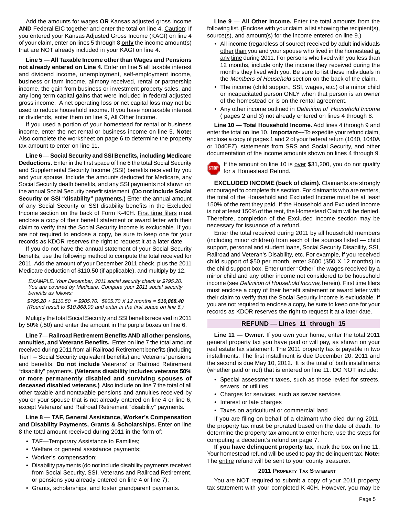Add the amounts for wages **OR** Kansas adjusted gross income **AND** Federal EIC together and enter the total on line 4. Caution: If you entered your Kansas Adjusted Gross Income (KAGI) on line 4 of your claim, enter on lines 5 through 8 **only** the income amount(s) that are NOT already included in your KAGI on line 4.

**Line 5** — **All Taxable Income other than Wages and Pensions not already entered on Line 4.** Enter on line 5 all taxable interest and dividend income, unemployment, self-employment income, business or farm income, alimony received, rental or partnership income, the gain from business or investment property sales, and any long term capital gains that were included in federal adjusted gross income. A net operating loss or net capital loss may not be used to reduce household income. If you have nontaxable interest or dividends, enter them on line 9, All Other Income.

If you used a portion of your homestead for rental or business income, enter the net rental or business income on line 5. **Note:**  Also complete the worksheet on page 6 to determine the property tax amount to enter on line 11.

**Line 6** — **Social Security and SSI Benefits, including Medicare Deductions.** Enter in the first space of line 6 the total Social Security and Supplemental Security Income (SSI) benefits received by you and your spouse. Include the amounts deducted for Medicare, any Social Security death benefits, and any SSI payments not shown on the annual Social Security benefit statement. **(Do not include Social Security or SSI "disability" payments.)** Enter the annual amount of any Social Security or SSI disability benefits in the Excluded Income section on the back of Form K-40H. First time filers must enclose a copy of their benefit statement or award letter with their claim to verify that the Social Security income is excludable. If you are not required to enclose a copy, be sure to keep one for your records as KDOR reserves the right to request it at a later date.

If you do not have the annual statement of your Social Security benefits, use the following method to compute the total received for 2011. Add the amount of your December 2011 check, plus the 2011 Medicare deduction of \$110.50 (if applicable), and multiply by 12.

EXAMPLE: Your December, 2011 social security check is \$795.20. You are covered by Medicare. Compute your 2011 social security benefits as follows:

\$795.20 + \$110.50 = \$905.70. \$905.70 X 12 months = **\$10,868.40**  (Round result to \$10,868.00 and enter in the first space on line 6.)

Multiply the total Social Security and SSI benefits received in 2011 by 50% (.50) and enter the amount in the purple boxes on line 6.

 **deceased disabled veterans.)** Also include on line 7 the total of all **Line 7**— **Railroad Retirement Benefits AND all other pensions, annuities, and Veterans Benefits.** Enter on line 7 the total amount received during 2011 from all Railroad Retirement benefits (including Tier I – Social Security equivalent benefits) and Veterans' pensions and benefits. **Do not include** Veterans' or Railroad Retirement "disability" payments. **(Veterans disability includes veterans 50% or more permanently disabled and surviving spouses of**  other taxable and nontaxable pensions and annuities received by you or your spouse that is not already entered on line 4 or line 6, except Veterans' and Railroad Retirement "disability" payments.

**Line 8** — **TAF, General Assistance, Worker's Compensation and Disability Payments, Grants & Scholarships.** Enter on line 8 the total amount received during 2011 in the form of:

- TAF—Temporary Assistance to Families;
- Welfare or general assistance payments;
- Worker's compensation;
- Disability payments (do not include disability payments received from Social Security, SSI, Veterans and Railroad Retirement, or pensions you already entered on line 4 or line 7);
- Grants, scholarships, and foster grandparent payments.

**Line 9** — **All Other Income.** Enter the total amounts from the following list. (Enclose with your claim a list showing the recipient(s), source(s), and amount(s) for the income entered on line 9.)

- All income (regardless of source) received by adult individuals other than you and your spouse who lived in the homestead at any time during 2011. For persons who lived with you less than 12 months, include only the income they received during the months they lived with you. Be sure to list these individuals in the Members of Household section on the back of the claim.
- The income (child support, SSI, wages, etc.) of a minor child or incapacitated person ONLY when that person is an owner of the homestead or is on the rental agreement.
- Any other income outlined in Definition of Household Income ( pages 2 and 3) not already entered on lines 4 through 8.

**Line 10** — **Total Household Income.** Add lines 4 through 9 and enter the total on line 10. **Important––**To expedite your refund claim, enclose a copy of pages 1 and 2 of your federal return (1040, 1040A or 1040EZ), statements from SRS and Social Security, and other documentation of the income amounts shown on lines 4 through 9.

If the amount on line 10 is over \$31,200, you do not qualify **STOP** for a Homestead Refund.

**EXCLUDED INCOME (back of claim).** Claimants are strongly encouraged to complete this section. For claimants who are renters, the total of the Household and Excluded Income must be at least 150% of the rent they paid. If the Household and Excluded Income is not at least 150% of the rent, the Homestead Claim will be denied. Therefore, completion of the Excluded Income section may be necessary for issuance of a refund.

Enter the total received during 2011 by all household members (including minor children) from each of the sources listed — child support, personal and student loans, Social Security Disability, SSI, Railroad and Veteran's Disability, etc. For example, if you received child support of \$50 per month, enter \$600 (\$50 X 12 months) in the child support box. Enter under "Other" the wages received by a minor child and any other income not considered to be household income (see Definition of Household Income, herein). First time filers must enclose a copy of their benefit statement or award letter with their claim to verify that the Social Security income is excludable. If you are not required to enclose a copy, be sure to keep one for your records as KDOR reserves the right to request it at a later date.

#### **REFUND — Lines 11 through 15**

**Line 11 — Owner.** If you own your home, enter the total 2011 general property tax you have paid or will pay, as shown on your real estate tax statement. The 2011 property tax is payable in two installments. The first installment is due December 20, 2011 and the second is due May 10, 2012. It is the total of both installments (whether paid or not) that is entered on line 11. DO NOT include:

- Special assessment taxes, such as those levied for streets, sewers, or utilities
- Charges for services, such as sewer services
- Interest or late charges
- Taxes on agricultural or commercial land

If you are filing on behalf of a claimant who died during 2011, the property tax must be prorated based on the date of death. To determine the property tax amount to enter here, use the steps for computing a decedent's refund on page 7.

**If you have delinquent property tax**, mark the box on line 11. Your homestead refund will be used to pay the delinquent tax. **Note:**  The entire refund will be sent to your county treasurer.

#### **2011 PROPERTY TAX STATEMENT**

You are NOT required to submit a copy of your 2011 property tax statement with your completed K-40H. However, you may be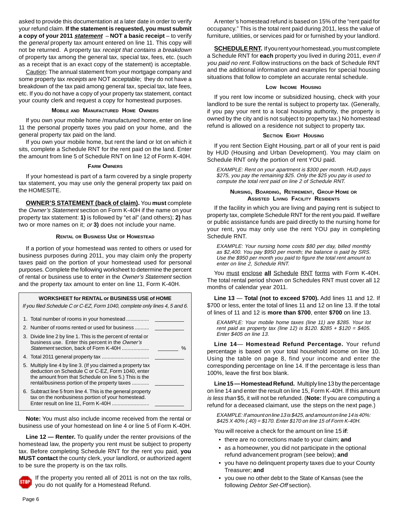asked to provide this documentation at a later date in order to verify your refund claim. **If the statement is requested, you must submit a copy of your 2011 statement** – **NOT a basic receipt** – to verify the general property tax amount entered on line 11. This copy will not be returned. A property tax receipt that contains a breakdown of property tax among the general tax, special tax, fees, etc. (such as a receipt that is an exact copy of the statement) is acceptable.

Caution: The annual statement from your mortgage company and some property tax receipts are NOT acceptable; they do not have a breakdown of the tax paid among general tax, special tax, late fees, etc. If you do not have a copy of your property tax statement, contact your county clerk and request a copy for homestead purposes.

#### **MOBILE AND MANUFACTURED HOME OWNERS**

If you own your mobile home /manufactured home, enter on line 11 the personal property taxes you paid on your home, and the general property tax paid on the land.

If you own your mobile home, but rent the land or lot on which it sits, complete a Schedule RNT for the rent paid on the land. Enter the amount from line 5 of Schedule RNT on line 12 of Form K-40H.

#### **FARM OWNERS**

If your homestead is part of a farm covered by a single property tax statement, you may use only the general property tax paid on the HOMESITE.

**OWNER'S STATEMENT (back of claim).** You **must** complete the Owner's Statement section on Form K-40H if the name on your property tax statement: **1)** is followed by "et al" (and others); **2)** has two or more names on it; or **3)** does not include your name.

#### **RENTAL OR BUSINESS USE OF HOMESTEAD**

If a portion of your homestead was rented to others or used for business purposes during 2011, you may claim only the property taxes paid on the portion of your homestead used for personal purposes. Complete the following worksheet to determine the percent of rental or business use to enter in the Owner's Statement section and the property tax amount to enter on line 11, Form K-40H.



**Note:** You must also include income received from the rental or business use of your homestead on line 4 or line 5 of Form K-40H.

**Line 12 — Renter.** To qualify under the renter provisions of the homestead law, the property you rent must be subject to property tax. Before completing Schedule RNT for the rent you paid, **you MUST contact** the county clerk, your landlord, or authorized agent to be sure the property is on the tax rolls.



If the property you rented all of 2011 is not on the tax rolls, you do not qualify for a Homestead Refund.

A renter's homestead refund is based on 15% of the "rent paid for occupancy." This is the total rent paid during 2011, less the value of furniture, utilities, or services paid for or furnished by your landlord.

**SCHEDULE RNT.** If you rent your homestead, you must complete a Schedule RNT for **each** property you lived in during 2011, even if you paid no rent. Follow instructions on the back of Schedule RNT and the additional information and examples for special housing situations that follow to complete an accurate rental schedule.

#### **LOW INCOME HOUSING**

If you rent low income or subsidized housing, check with your landlord to be sure the rental is subject to property tax. (Generally, if you pay your rent to a local housing authority, the property is owned by the city and is not subject to property tax.) No homestead refund is allowed on a residence not subject to property tax.

#### **SECTION EIGHT HOUSING**

If you rent Section Eight Housing, part or all of your rent is paid by HUD (Housing and Urban Development). You may claim on Schedule RNT only the portion of rent YOU paid.

EXAMPLE: Rent on your apartment is \$300 per month. HUD pays \$275, you pay the remaining \$25. Only the \$25 you pay is used to compute the total rent paid on line 2 of Schedule RNT.

#### **NURSING, BOARDING, RETIREMENT, GROUP HOME OR ASSISTED LIVING FACILITY RESIDENTS**

If the facility in which you are living and paying rent is subject to property tax, complete Schedule RNT for the rent you paid. If welfare or public assistance funds are paid directly to the nursing home for your rent, you may only use the rent YOU pay in completing Schedule RNT.

EXAMPLE: Your nursing home costs \$80 per day, billed monthly as \$2,400. You pay \$950 per month; the balance is paid by SRS. Use the \$950 per month you paid to figure the total rent amount to enter on line 2, Schedule RNT.

You must enclose **all** Schedule RNT forms with Form K-40H. The total rental period shown on Schedules RNT must cover all 12 months of calendar year 2011.

**Line 13** — **Total (not to exceed \$700).** Add lines 11 and 12. If \$700 or less, enter the total of lines 11 and 12 on line 13. If the total of lines of 11 and 12 is **more than \$700**, enter **\$700** on line 13.

EXAMPLE: Your mobile home taxes (line 11) are \$285. Your lot rent paid as property tax (line 12) is \$120. \$285 + \$120 = \$405. Enter \$405 on line 13.

**Line 14**— **Homestead Refund Percentage.** Your refund percentage is based on your total household income on line 10. Using the table on page 8, find your income and enter the corresponding percentage on line 14. If the percentage is less than 100%, leave the first box blank.

**Line 15 — Homestead Refund.** Multiply line 13 by the percentage on line 14 and enter the result on line 15, Form K-40H. If this amount is less than \$5, it will not be refunded. (**Note:** If you are computing a refund for a deceased claimant, use the steps on the next page.)

EXAMPLE: If amount on line 13 is \$425, and amount on line 14 is 40%:  $$425 X 40\%$  (.40) = \$170. Enter \$170 on line 15 of Form K-40H.

You will receive a check for the amount on line 15 **if**:

- there are no corrections made to your claim; **and**
- as a homeowner, you did not participate in the optional refund advancement program (see below); **and**
- you have no delinquent property taxes due to your County Treasurer; **and**
- you owe no other debt to the State of Kansas (see the following Debtor Set-Off section).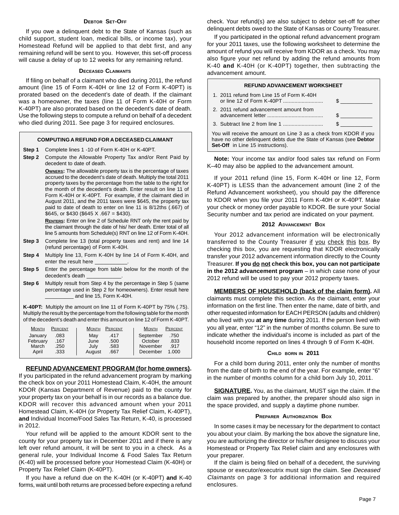#### **DEBTOR SET-OFF**

If you owe a delinquent debt to the State of Kansas (such as child support, student loan, medical bills, or income tax), your Homestead Refund will be applied to that debt first, and any remaining refund will be sent to you. However, this set-off process will cause a delay of up to 12 weeks for any remaining refund.

#### **DECEASED CLAIMANTS**

If filing on behalf of a claimant who died during 2011, the refund amount (line 15 of Form K-40H or line 12 of Form K-40PT) is prorated based on the decedent's date of death. If the claimant was a homeowner, the taxes (line 11 of Form K-40H or Form K-40PT) are also prorated based on the decedent's date of death. Use the following steps to compute a refund on behalf of a decedent who died during 2011. See page 3 for required enclosures.

#### **COMPUTING A REFUND FOR A DECEASED CLAIMANT**

- **Step 1** Complete lines 1 -10 of Form K-40H or K-40PT.
- **Step 2** Compute the Allowable Property Tax and/or Rent Paid by decedent to date of death.

**OWNERS:** The allowable property tax is the percentage of taxes accrued to the decedent's date of death. Multiply the total 2011 property taxes by the percentage from the table to the right for the month of the decedent's death. Enter result on line 11 of Form K-40H or K-40PT. For example, if the claimant died in August 2011, and the 2011 taxes were \$645, the property tax paid to date of death to enter on line 11 is 8/12ths (.667) of  $$645, or $430 ($645 X .667 = $430).$ 

**RENTERS:** Enter on line 2 of Schedule RNT only the rent paid by the claimant through the date of his/ her death. Enter total of all line 5 amounts from Schedule(s) RNT on line 12 of Form K-40H.

**Step 3** Complete line 13 (total property taxes and rent) and line 14 (refund percentage) of Form K-40H.

**Step 4** Multiply line 13, Form K-40H by line 14 of Form K-40H, and enter the result here \_

- **Step 5** Enter the percentage from table below for the month of the decedent's death \_\_\_\_\_\_\_\_\_\_\_\_.
- **Step 6** Multiply result from Step 4 by the percentage in Step 5 (same percentage used in Step 2 for homeowners). Enter result here \_\_\_\_\_\_\_\_\_\_ and line 15, Form K-40H.

**K-40PT:** Multiply the amount on line 11 of Form K-40PT by 75% (.75). Multiply the result by the percentage from the following table for the month of the decedent's death and enter this amount on line 12 of Form K-40PT.

| PERCENT      | PERCENT      | <b>MONTH</b> |
|--------------|--------------|--------------|
| <b>MONTH</b> | <b>MONTH</b> | PERCENT      |
| January      | Mav          | September    |
| .083         | .417         | .750         |
| February     | .500         | October      |
| .167         | June         | .833         |
| March        | July         | November     |
| .250         | .583         | .917         |
| April        | August       | December     |
| .333         | .667         | 1.000        |

#### **REFUND ADVANCEMENT PROGRAM (for home owners).**

If you participated in the refund advancement program by marking the check box on your 2011 Homestead Claim, K-40H, the amount KDOR (Kansas Department of Revenue) paid to the county for your property tax on your behalf is in our records as a balance due. KDOR will recover this advanced amount when your 2011 Homestead Claim, K-40H (or Property Tax Relief Claim, K-40PT), **and** Individual Income/Food Sales Tax Return, K-40, is processed in 2012.

Your refund will be applied to the amount KDOR sent to the county for your property tax in December 2011 and if there is any left over refund amount, it will be sent to you in a check. As a general rule, your Individual Income & Food Sales Tax Return (K-40) will be processed before your Homestead Claim (K-40H) or Property Tax Relief Claim (K-40PT).

If you have a refund due on the K-40H (or K-40PT) **and** K-40 forms, wait until both returns are processed before expecting a refund check. Your refund(s) are also subject to debtor set-off for other delinquent debts owed to the State of Kansas or County Treasurer.

If you participated in the optional refund advancement program for your 2011 taxes, use the following worksheet to determine the amount of refund you will receive from KDOR as a check. You may also figure your net refund by adding the refund amounts from K-40 **and** K-40H (or K-40PT) together, then subtracting the advancement amount.

| <b>REFUND ADVANCEMENT WORKSHEET</b>                                                                                                                                          |  |  |  |
|------------------------------------------------------------------------------------------------------------------------------------------------------------------------------|--|--|--|
| 1. 2011 refund from Line 15 of Form K-40H                                                                                                                                    |  |  |  |
| 2. 2011 refund advancement amount from                                                                                                                                       |  |  |  |
|                                                                                                                                                                              |  |  |  |
| You will receive the amount on Line 3 as a check from KDOR if you<br>have no other delinguent debts due the State of Kansas (see Debtor<br>Set-Off in Line 15 instructions). |  |  |  |

**Note:** Your income tax and/or food sales tax refund on Form K–40 may also be applied to the advancement amount.

If your 2011 refund (line 15, Form K-40H or line 12, Form K-40PT) is LESS than the advancement amount (line 2 of the Refund Advancement worksheet), you should pay the difference to KDOR when you file your 2011 Form K-40H or K-40PT. Make your check or money order payable to KDOR. Be sure your Social Security number and tax period are indicated on your payment.

#### **2012 ADVANCEMENT BOX**

Your 2012 advancement information will be electronically transferred to the County Treasurer if you check this box. By checking this box, you are requesting that KDOR electronically transfer your 2012 advancement information directly to the County Treasurer. **If you do not check this box, you can not participate in the 2012 advancement program** – in which case none of your 2012 refund will be used to pay your 2012 property taxes.

**MEMBERS OF HOUSEHOLD (back of the claim form).** All claimants must complete this section. As the claimant, enter your information on the first line. Then enter the name, date of birth, and other requested information for EACH PERSON (adults and children) who lived with you **at any time** during 2011. If the person lived with you all year, enter "12" in the number of months column. Be sure to indicate whether the individual's income is included as part of the household income reported on lines 4 through 9 of Form K-40H.

#### **CHILD BORN IN 2011**

For a child born during 2011, enter only the number of months from the date of birth to the end of the year. For example, enter "6" in the number of months column for a child born July 10, 2011.

**SIGNATURE.** You, as the claimant, MUST sign the claim. If the claim was prepared by another, the preparer should also sign in the space provided, and supply a daytime phone number.

#### **PREPARER AUTHORIZATION BOX**

In some cases it may be necessary for the department to contact you about your claim. By marking the box above the signature line, you are authorizing the director or his/her designee to discuss your Homestead or Property Tax Relief claim and any enclosures with your preparer.

If the claim is being filed on behalf of a decedent, the surviving spouse or executor/executrix must sign the claim. See Deceased Claimants on page 3 for additional information and required enclosures.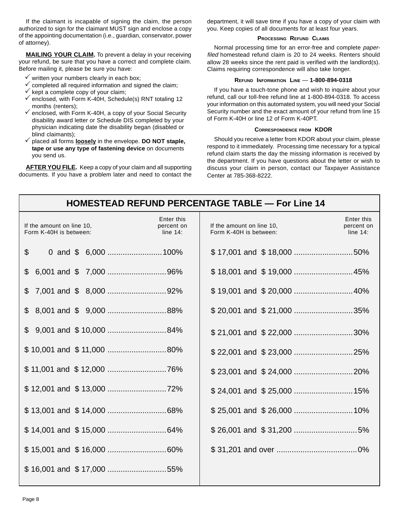If the claimant is incapable of signing the claim, the person authorized to sign for the claimant MUST sign and enclose a copy of the appointing documentation (i.e., guardian, conservator, power of attorney).

**MAILING YOUR CLAIM.** To prevent a delay in your receiving your refund, be sure that you have a correct and complete claim. Before mailing it, please be sure you have:

- $\checkmark$  written your numbers clearly in each box;
- $\checkmark$  completed all required information and signed the claim;
- $\checkmark$  kept a complete copy of your claim;
- $\checkmark$  enclosed, with Form K-40H, Schedule(s) RNT totaling 12 months (renters);
- $\checkmark$  enclosed, with Form K-40H, a copy of your Social Security disability award letter or Schedule DIS completed by your physician indicating date the disability began (disabled or blind claimants);
- 3 placed all forms **loosely** in the envelope. **DO NOT staple, tape or use any type of fastening device** on documents you send us.

**AFTER YOU FILE.** Keep a copy of your claim and all supporting documents. If you have a problem later and need to contact the department, it will save time if you have a copy of your claim with you. Keep copies of all documents for at least four years.

#### **PROCESSING REFUND CLAIMS**

Normal processing time for an error-free and complete paperfiled homestead refund claim is 20 to 24 weeks. Renters should allow 28 weeks since the rent paid is verified with the landlord(s). Claims requiring correspondence will also take longer.

#### **REFUND INFORMATION LINE** — **1-800-894-0318**

If you have a touch-tone phone and wish to inquire about your refund, call our toll-free refund line at 1-800-894-0318. To access your information on this automated system, you will need your Social Security number and the exact amount of your refund from line 15 of Form K-40H or line 12 of Form K-40PT.

#### **CORRESPONDENCE FROM KDOR**

Should you receive a letter from KDOR about your claim, please respond to it immediately. Processing time necessary for a typical refund claim starts the day the missing information is received by the department. If you have questions about the letter or wish to discuss your claim in person, contact our Taxpayer Assistance Center at 785-368-8222.

| <b>HOMESTEAD REFUND PERCENTAGE TABLE — For Line 14</b> |                                                                                                |                                         |  |  |  |
|--------------------------------------------------------|------------------------------------------------------------------------------------------------|-----------------------------------------|--|--|--|
| If the amount on line 10,<br>Form K-40H is between:    | Enter this<br>If the amount on line 10,<br>percent on<br>Form K-40H is between:<br>line $14$ : | Enter this<br>percent on<br>line $14$ : |  |  |  |
| \$                                                     |                                                                                                |                                         |  |  |  |
|                                                        |                                                                                                |                                         |  |  |  |
|                                                        |                                                                                                |                                         |  |  |  |
| $$8,001$ and $$9,000$ 88%                              |                                                                                                | \$20,001 and \$21,000 35%               |  |  |  |
|                                                        |                                                                                                | \$21,001 and \$22,000 30%               |  |  |  |
| \$10,001 and \$11,000 80%                              |                                                                                                |                                         |  |  |  |
|                                                        |                                                                                                |                                         |  |  |  |
|                                                        |                                                                                                |                                         |  |  |  |
|                                                        |                                                                                                |                                         |  |  |  |
|                                                        |                                                                                                |                                         |  |  |  |
|                                                        |                                                                                                |                                         |  |  |  |
|                                                        |                                                                                                |                                         |  |  |  |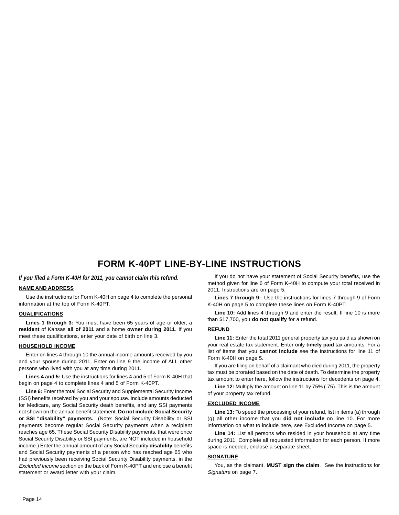### **FORM K-40PT LINE-BY-LINE INSTRUCTIONS**

#### *If you filed a Form K-40H for 2011, you cannot claim this refund.*

#### **NAME AND ADDRESS**

Use the instructions for Form K-40H on page 4 to complete the personal information at the top of Form K-40PT.

#### **QUALIFICATIONS**

**Lines 1 through 3:** You must have been 65 years of age or older, a **resident** of Kansas **all of 2011** and a home **owner during 2011**. If you meet these qualifications, enter your date of birth on line 3.

#### **HOUSEHOLD INCOME**

Enter on lines 4 through 10 the annual income amounts received by you and your spouse during 2011. Enter on line 9 the income of ALL other persons who lived with you at any time during 2011.

**Lines 4 and 5:** Use the instructions for lines 4 and 5 of Form K-40H that begin on page 4 to complete lines 4 and 5 of Form K-40PT.

**Line 6:** Enter the total Social Security and Supplemental Security Income (SSI) benefits received by you and your spouse. Include amounts deducted for Medicare, any Social Security death benefits, and any SSI payments not shown on the annual benefit statement. **Do not include Social Security or SSI "disability" payments.** (Note: Social Security Disability or SSI payments become regular Social Security payments when a recipient reaches age 65. These Social Security Disability payments, that were once Social Security Disability or SSI payments, are NOT included in household income.) Enter the annual amount of any Social Security **disability** benefits and Social Security payments of a person who has reached age 65 who had previously been receiving Social Security Disability payments, in the Excluded Income section on the back of Form K-40PT and enclose a benefit statement or award letter with your claim.

If you do not have your statement of Social Security benefits, use the method given for line 6 of Form K-40H to compute your total received in 2011. Instructions are on page 5.

**Lines 7 through 9:** Use the instructions for lines 7 through 9 of Form K-40H on page 5 to complete these lines on Form K-40PT.

**Line 10:** Add lines 4 through 9 and enter the result. If line 10 is more than \$17,700, you **do not qualify** for a refund.

#### **REFUND**

Line 11: Enter the total 2011 general property tax you paid as shown on your real estate tax statement. Enter only **timely paid** tax amounts. For a list of items that you **cannot include** see the instructions for line 11 of Form K-40H on page 5.

If you are filing on behalf of a claimant who died during 2011, the property tax must be prorated based on the date of death. To determine the property tax amount to enter here, follow the instructions for decedents on page 4.

**Line 12:** Multiply the amount on line 11 by 75% (.75). This is the amount of your property tax refund.

#### **EXCLUDED INCOME**

Line 13: To speed the processing of your refund, list in items (a) through (g) all other income that you **did not include** on line 10. For more information on what to include here, see Excluded Income on page 5.

**Line 14:** List all persons who resided in your household at any time during 2011. Complete all requested information for each person. If more space is needed, enclose a separate sheet.

#### **SIGNATURE**

You, as the claimant, **MUST sign the claim**. See the instructions for Signature on page 7.